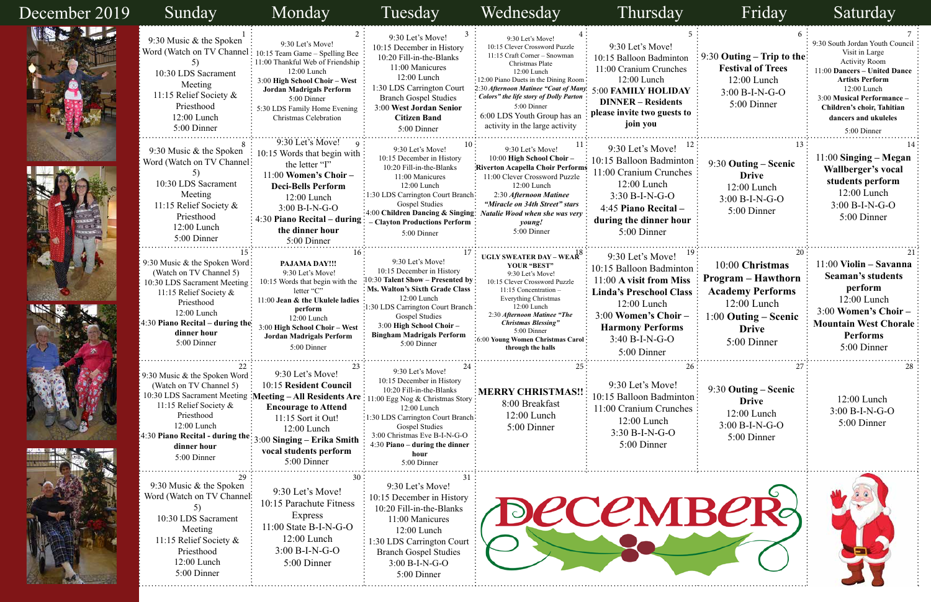| 5<br>n<br>S<br>Y<br>to      | 6<br>$9:30$ Outing – Trip to the<br><b>Festival of Trees</b><br>12:00 Lunch<br>$3:00 B-I-N-G-O$<br>5:00 Dinner                                          | 9:30 South Jordan Youth Council<br>Visit in Large<br><b>Activity Room</b><br>11:00 Dancers - United Dance<br><b>Artists Perform</b><br>$12:00$ Lunch<br>3:00 Musical Performance -<br>Children's choir, Tahitian<br>dancers and ukuleles<br>5:00 Dinner |
|-----------------------------|---------------------------------------------------------------------------------------------------------------------------------------------------------|---------------------------------------------------------------------------------------------------------------------------------------------------------------------------------------------------------------------------------------------------------|
| 12<br>on<br>es<br>ır        | 13<br>9:30 Outing – Scenic<br><b>Drive</b><br>$12:00$ Lunch<br>3:00 B-I-N-G-O<br>5:00 Dinner                                                            | 14<br>$11:00$ Singing – Megan<br>Wallberger's vocal<br>students perform<br>12:00 Lunch<br>3:00 B-I-N-G-O<br>5:00 Dinner                                                                                                                                 |
| 19<br>on<br>SS<br><b>SS</b> | 20<br>10:00 Christmas<br><b>Program – Hawthorn</b><br><b>Academy Performs</b><br>$12:00$ Lunch<br>$1:00$ Outing – Scenic<br><b>Drive</b><br>5:00 Dinner | 21<br>11:00 Violin - Savanna<br><b>Seaman's students</b><br>perform<br>12:00 Lunch<br>3:00 Women's Choir -<br><b>Mountain West Chorale</b><br><b>Performs</b><br>5:00 Dinner                                                                            |
| 26<br>юn<br>es              | 27<br>9:30 Outing - Scenic<br><b>Drive</b><br>12:00 Lunch<br>$3:00 B-I-N-G-O$<br>5:00 Dinner                                                            | -28<br>12:00 Lunch<br>$3:00 B-I-N-G-O$<br>5:00 Dinner                                                                                                                                                                                                   |
|                             |                                                                                                                                                         |                                                                                                                                                                                                                                                         |

| December 2019 | Sunday                                                                                                                                                                                                                  | Monday                                                                                                                                                                                                                                                                                           | Tuesday                                                                                                                                                                                                                                                                 | Wednesday                                                                                                                                                                                                                                                                                                                        | Thursday                                                                                                                                                                                                        | Friday                                                                                                                                            | Saturday                                                                                                                                                                                                                                              |
|---------------|-------------------------------------------------------------------------------------------------------------------------------------------------------------------------------------------------------------------------|--------------------------------------------------------------------------------------------------------------------------------------------------------------------------------------------------------------------------------------------------------------------------------------------------|-------------------------------------------------------------------------------------------------------------------------------------------------------------------------------------------------------------------------------------------------------------------------|----------------------------------------------------------------------------------------------------------------------------------------------------------------------------------------------------------------------------------------------------------------------------------------------------------------------------------|-----------------------------------------------------------------------------------------------------------------------------------------------------------------------------------------------------------------|---------------------------------------------------------------------------------------------------------------------------------------------------|-------------------------------------------------------------------------------------------------------------------------------------------------------------------------------------------------------------------------------------------------------|
| Aug & D       | 9:30 Music & the Spoken<br>10:30 LDS Sacrament<br>Meeting<br>11:15 Relief Society &<br>Priesthood<br>12:00 Lunch<br>5:00 Dinner                                                                                         | 9:30 Let's Move!<br>Word (Watch on TV Channel: 10:15 Team Game - Spelling Bee<br>11:00 Thankful Web of Friendship<br>12:00 Lunch<br>3:00 High School Choir - West<br><b>Jordan Madrigals Perform</b><br>5:00 Dinner<br>5:30 LDS Family Home Evening<br>Christmas Celebration                     | 9:30 Let's Move!<br>10:15 December in History<br>10:20 Fill-in-the-Blanks<br>11:00 Manicures<br>12:00 Lunch<br>1:30 LDS Carrington Court<br><b>Branch Gospel Studies</b><br>3:00 West Jordan Senior<br><b>Citizen Band</b><br>5:00 Dinner                               | 9:30 Let's Move!<br>10:15 Clever Crossword Puzzle<br>11:15 Craft Corner - Snowman<br>Christmas Plate<br>$12:00$ Lunch<br>:12:00 Piano Duets in the Dining Room<br>2:30 Afternoon Matinee "Coat of Many<br>Colors" the life story of Dolly Parton<br>5:00 Dinner<br>6:00 LDS Youth Group has an<br>activity in the large activity | 9:30 Let's Move!<br>10:15 Balloon Badminton<br>11:00 Cranium Crunches<br>12:00 Lunch<br>5:00 FAMILY HOLIDAY<br><b>DINNER – Residents</b><br>please invite two guests to<br>join you                             | $9:30$ Outing – Trip to the:<br><b>Festival of Trees</b><br>12:00 Lunch<br>$3:00 B-I-N-G-O$<br>5:00 Dinner                                        | 9:30 South Jordan Youth Council<br>Visit in Large<br><b>Activity Room</b><br>11:00 Dancers - United Dance<br><b>Artists Perform</b><br>12:00 Lunch<br>3:00 Musical Performance -<br>Children's choir, Tahitian<br>dancers and ukuleles<br>5:00 Dinner |
|               | 9:30 Music & the Spoken<br>Word (Watch on TV Channel:<br>10:30 LDS Sacrament<br>Meeting<br>11:15 Relief Society &<br>Priesthood<br>12:00 Lunch<br>5:00 Dinner                                                           | 9:30 Let's Move!<br>$\therefore$ 10:15 Words that begin with $\therefore$<br>the letter "I"<br>$11:00$ Women's Choir -<br><b>Deci-Bells Perform</b><br>12:00 Lunch<br>$3:00 B-I-N-G-O$<br>4:30 Piano Recital – during<br>the dinner hour<br>5:00 Dinner                                          | 9:30 Let's Move!<br>10:15 December in History<br>10:20 Fill-in-the-Blanks<br>11:00 Manicures<br>$12:00$ Lunch<br>:1:30 LDS Carrington Court Branch:<br><b>Gospel Studies</b><br>:4:00 Children Dancing & Singing:<br><b>Clayton Productions Perform</b><br>5:00 Dinner  | 9:30 Let's Move!<br>10:00 High School Choir -<br>Riverton Acapella Choir Performs<br>11:00 Clever Crossword Puzzle<br>12:00 Lunch<br>2:30 Afternoon Matinee<br>"Miracle on 34th Street" stars<br><b>Natalie Wood when she was very</b><br>young!<br>5:00 Dinner                                                                  | 9:30 Let's Move!<br>10:15 Balloon Badminton<br>11:00 Cranium Crunches<br>$12:00$ Lunch<br>$3:30 B-I-N-G-O$<br>4:45 Piano Recital -<br>during the dinner hour<br>5:00 Dinner                                     | 9:30 Outing - Scenic<br><b>Drive</b><br>12:00 Lunch<br>3:00 B-I-N-G-O<br>5:00 Dinner                                                              | $11:00$ Singing – Megan<br>Wallberger's vocal<br>students perform<br>$12:00$ Lunch<br>$3:00 B-I-N-G-O$<br>5:00 Dinner                                                                                                                                 |
|               | 9:30 Music & the Spoken Word:<br>(Watch on TV Channel 5)<br>10:30 LDS Sacrament Meeting<br>11:15 Relief Society &<br>Priesthood<br>12:00 Lunch<br>$\left[4:30$ Piano Recital – during the<br>dinner hour<br>5:00 Dinner | PAJAMA DAY!!!<br>9:30 Let's Move!<br>10:15 Words that begin with the<br>letter "C"<br>11:00 Jean & the Ukulele ladies<br>perform<br>12:00 Lunch<br>3:00 High School Choir - West<br><b>Jordan Madrigals Perform</b><br>5:00 Dinner                                                               | 9:30 Let's Move!<br>10:15 December in History<br>0:30 Talent Show - Presented by<br>Ms. Walton's Sixth Grade Class:<br>12:00 Lunch<br>:1:30 LDS Carrington Court Branch<br>Gospel Studies<br>3:00 High School Choir-<br><b>Bingham Madrigals Perform</b><br>5:00 Dinner | UGLY SWEATER DAY – WEAR $3^8$ :<br>YOUR "BEST"<br>9:30 Let's Move!<br>10:15 Clever Crossword Puzzle<br>11:15 Concentration -<br>Everything Christmas<br>12:00 Lunch<br>2:30 Afternoon Matinee "The<br><b>Christmas Blessing"</b><br>5:00 Dinner<br>6:00 Young Women Christmas Carol<br>through the halls                         | 9:30 Let's Move!<br>10:15 Balloon Badminton<br>11:00 A visit from Miss<br><b>Linda's Preschool Class</b><br>$12:00$ Lunch<br>3:00 Women's Choir -<br><b>Harmony Performs</b><br>$3:40 B-I-N-G-O$<br>5:00 Dinner | 10:00 Christmas<br><b>Program – Hawthorn</b><br><b>Academy Performs</b><br>$12:00$ Lunch<br>$1:00$ Outing – Scenic<br><b>Drive</b><br>5:00 Dinner | 11:00 Violin – Savanna<br><b>Seaman's students</b><br>perform<br>12:00 Lunch<br>3:00 Women's Choir-<br><b>Mountain West Chorale</b><br><b>Performs</b><br>5:00 Dinner                                                                                 |
|               | 9:30 Music & the Spoken Word:<br>(Watch on TV Channel 5)<br>11:15 Relief Society &<br>Priesthood<br>12:00 Lunch<br>$4:30$ Piano Recital - during the:<br>dinner hour<br>5:00 Dinner                                     | 9:30 Let's Move!<br>10:15 Resident Council<br>10:30 LDS Sacrament Meeting : Meeting - All Residents Are: 11:00 Egg Nog & Christmas Story:<br><b>Encourage to Attend</b><br>11:15 Sort it Out!<br>12:00 Lunch<br>$\frac{1}{2}3:00$ Singing – Erika Smith<br>vocal students perform<br>5:00 Dinner | 9:30 Let's Move!<br>10:15 December in History<br>10:20 Fill-in-the-Blanks<br>12:00 Lunch<br>:1:30 LDS Carrington Court Branch:<br><b>Gospel Studies</b><br>3:00 Christmas Eve B-I-N-G-O<br>4:30 Piano – during the dinner<br>hour<br>5:00 Dinner                        | : MERRY CHRISTMAS!!<br>8:00 Breakfast<br>12:00 Lunch<br>5:00 Dinner                                                                                                                                                                                                                                                              | 9:30 Let's Move!<br>10:15 Balloon Badminton:<br>11:00 Cranium Crunches<br>12:00 Lunch<br>3:30 B-I-N-G-O<br>5:00 Dinner                                                                                          | 9:30 Outing – Scenic<br><b>Drive</b><br>$12:00$ Lunch<br>3:00 B-I-N-G-O<br>5:00 Dinner                                                            | 12:00 Lunch<br>3:00 B-I-N-G-O<br>5:00 Dinner                                                                                                                                                                                                          |
|               | 9:30 Music $&$ the Spoken<br>Word (Watch on TV Channel:<br>10:30 LDS Sacrament<br>Meeting<br>11:15 Relief Society &<br>Priesthood<br>12:00 Lunch<br>5:00 Dinner                                                         | 9:30 Let's Move!<br>10:15 Parachute Fitness<br>Express<br>$11:00$ State B-I-N-G-O<br>12:00 Lunch<br>$3:00 B-I-N-G-O$<br>5:00 Dinner                                                                                                                                                              | 9:30 Let's Move!<br>10:15 December in History<br>10:20 Fill-in-the-Blanks<br>11:00 Manicures<br>$12:00$ Lunch<br>1:30 LDS Carrington Court<br><b>Branch Gospel Studies</b><br>3:00 B-I-N-G-O<br>5:00 Dinner                                                             |                                                                                                                                                                                                                                                                                                                                  | <b>DECEMBER</b>                                                                                                                                                                                                 |                                                                                                                                                   |                                                                                                                                                                                                                                                       |

|    | Т<br>I<br><b>Service Service</b> | O | Δ<br>12 |
|----|----------------------------------|---|---------|
| هي |                                  |   |         |
|    |                                  |   |         |